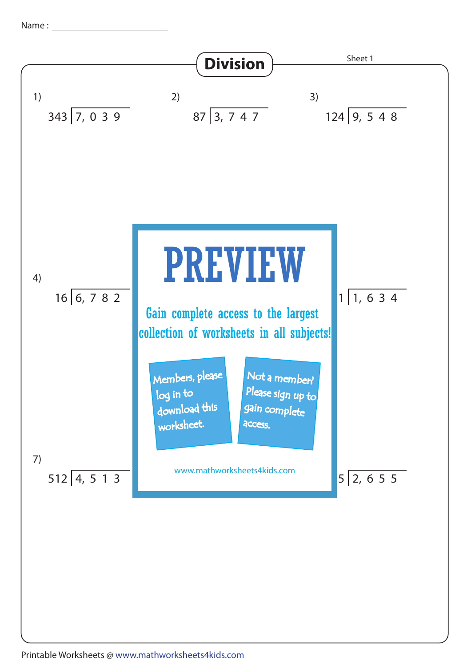